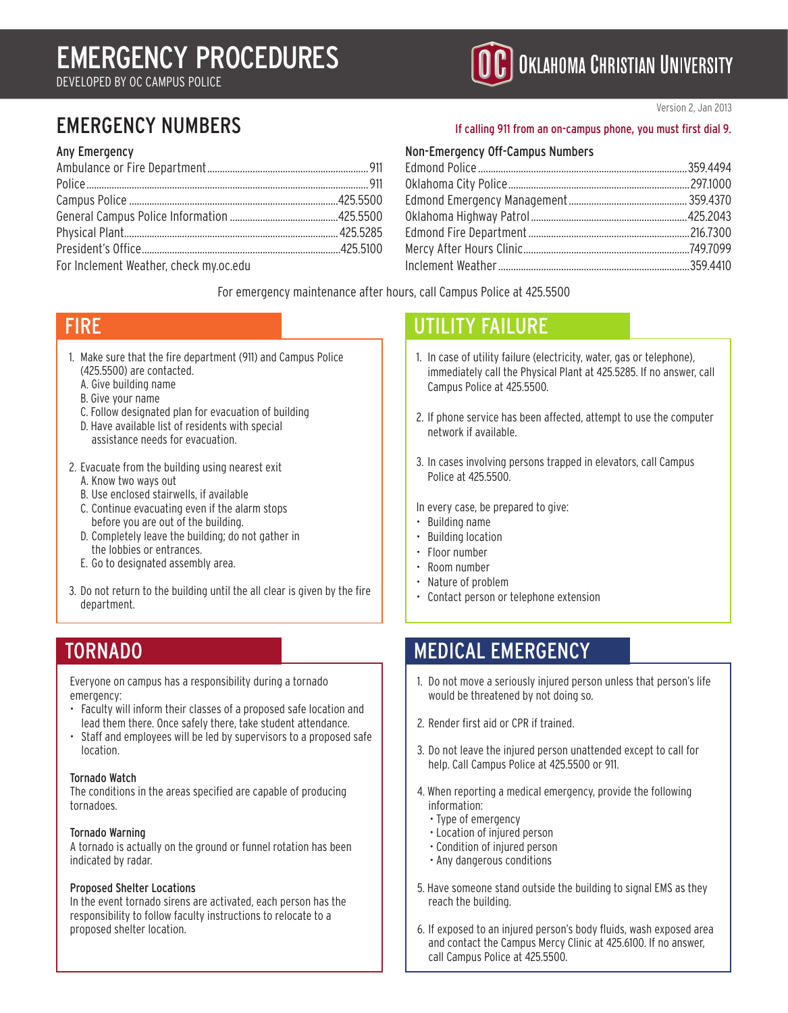# Emergency Procedures

Developed by OC Campus Police

#### Any Emergency

| For Inclament Westher check my oc adu |  |
|---------------------------------------|--|

For Inclement Weather, check my.oc.edu

### Version 2, Jan 2013

### EMERGENCY NUMBERS If calling 911 from an on-campus phone, you must first dial 9.

**C** OKLAHOMA CHRISTIAN UNIVERSITY

#### Non-Emergency Off-Campus Numbers

For emergency maintenance after hours, call Campus Police at 425.5500

### **FIRE**

- 1. Make sure that the fire department (911) and Campus Police (425.5500) are contacted.
	- A. Give building name
	- B. Give your name
	- C. Follow designated plan for evacuation of building
	- D. Have available list of residents with special assistance needs for evacuation.
- 2. Evacuate from the building using nearest exit
	- A. Know two ways out
	- B. Use enclosed stairwells, if available
	- C. Continue evacuating even if the alarm stops before you are out of the building.
	- D. Completely leave the building; do not gather in the lobbies or entrances.
	- E. Go to designated assembly area.
- 3. Do not return to the building until the all clear is given by the fire department.

Everyone on campus has a responsibility during a tornado emergency:

- Faculty will inform their classes of a proposed safe location and lead them there. Once safely there, take student attendance.
- Staff and employees will be led by supervisors to a proposed safe location.

#### Tornado Watch

The conditions in the areas specified are capable of producing tornadoes.

#### Tornado Warning

A tornado is actually on the ground or funnel rotation has been indicated by radar.

#### Proposed Shelter Locations

In the event tornado sirens are activated, each person has the responsibility to follow faculty instructions to relocate to a proposed shelter location.

### UTILITY FAILURE

- 1. In case of utility failure (electricity, water, gas or telephone), immediately call the Physical Plant at 425.5285. If no answer, call Campus Police at 425.5500.
- 2. If phone service has been affected, attempt to use the computer network if available.
- 3. In cases involving persons trapped in elevators, call Campus Police at 425.5500.
- In every case, be prepared to give:
- Building name
- Building location
- Floor number
- Room number
- Nature of problem
- Contact person or telephone extension

### TORNADO **MEDICAL EMERGENCY**

- 1. Do not move a seriously injured person unless that person's life would be threatened by not doing so.
- 2. Render first aid or CPR if trained.
- 3. Do not leave the injured person unattended except to call for help. Call Campus Police at 425.5500 or 911.
- 4. When reporting a medical emergency, provide the following information:
	- Type of emergency
	- Location of injured person
	- Condition of injured person
	- Any dangerous conditions
- 5. Have someone stand outside the building to signal EMS as they reach the building.
- 6. If exposed to an injured person's body fluids, wash exposed area and contact the Campus Mercy Clinic at 425.6100. If no answer, call Campus Police at 425.5500.